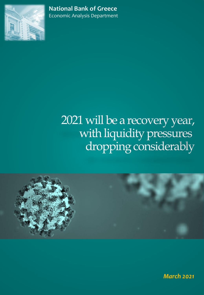

**National Bank of Greece** Economic Analysis Department

# 2021 will be a recovery year, with liquidity pressures dropping considerably



*March 2021*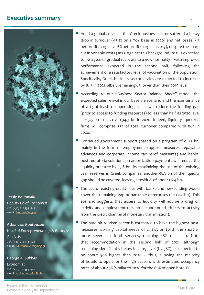# **Executive summary** <sup>2</sup>



#### *Jessie Voumvaki*

*Deputy Chief Economist Tel.: (+30) 210 334 1549 e-mail: [fvoumv@nbg.gr](mailto:fvoumv@nbg.gr)*

#### *Athanasia Koutouzou*

*Head of Entrepreneurship & Business Analysis Tel.: (+30) 210 334 1528 e-mail: [koutouzou.ath@nbg.gr](mailto:koutouzou.ath@nbg.gr)*

#### *George K. Sakkas*

*Economist Tel.: (+30) 210 334 1547 e-mail: [sakkas.georgios@nbg.gr](mailto:sakkas.georgios@nbg.gr)*

- Amid a global collapse, the Greek business sector suffered a heavy drop in turnover (-13.2% on a YoY basis in 2020) and net losses (-1% net profit margin, vs 6% net profit margin in 2019), despite the sharp cut in variable costs (10%). Against this background, 2021 is expected to be a year of gradual recovery to a new normality – with improved performance expected in the second half, following the achievement of a satisfactory level of vaccination of the population. Specifically, Greek business sector's sales are expected to increase by 8.1% in 2021, albeit remaining 6% lower than their 2019 level.
- According to our "Business Sector Balance Sheet" model, the expected sales revival in our baseline scenario and the maintenance of a tight leash on operating costs, will reduce the funding gap (prior to access to funding resources) to less than half its 2020 level – €15.5 bn in 2021 vs €34.3 bn in 2020. Indeed, liquidity-squeezed firms will comprise 33% of total turnover compared with 88% in 2020.
- Continued government support (based on a program of  $c. \epsilon$ 5 bn, mainly in the form of employment support measures, repayable advances and corporate income tax relief measures) and banks' post moratoria solutions on amortization payments will reduce the liquidity pressure by  $\epsilon$ 5.8 bn. By maximizing the use of the existing cash reserves in Greek companies, another €3.3 bn of the liquidity gap should be covered, leaving a residual of about €6.4 bn.
- The use of existing credit lines with banks and new lending would cover the remaining gap of bankable enterprises (i.e  $\epsilon$ 2.2 bn). This scenario suggests that access to liquidity will not be a drag on activity and employment (i.e. no second-round effects to activity from the credit channel of monetary transmission).
- The hard-hit tourism sector is estimated to have the highest postmeasures working capital needs of c. €1.3 bn (with the shortfall more severe in food services, reaching 18% of sales). Note that accommodation in the second half of 2021, although remaining significantly below its 2019 level (by 38%), is expected to be about 50% higher than 2020 – thus, allowing the majority of hotels to open for the high season, with estimated occupancy rates of about 45% (similar to 2020 for the 60% of open hotels).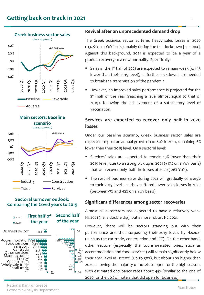



### **Sectoral turnover outlook: Comparing the Covid years to 2019**

| ■2020<br>■ 2021                                                                                                                                        | <b>First half of</b><br>the year                                                | <b>Second half</b><br>of the year                   |  |
|--------------------------------------------------------------------------------------------------------------------------------------------------------|---------------------------------------------------------------------------------|-----------------------------------------------------|--|
| Business sector                                                                                                                                        | $-14%$                                                                          | $0\%$                                               |  |
| Accommodation<br>Food services<br>Transport<br>Car trade<br>Other services<br>Manufacturir<br>Energ<br>Constructior<br>Wholesale trade<br>Retail trade | -28%<br>$-23%$<br>$-20%$<br>$-13%$<br>$-12%$<br>$-11%$<br>$-11%$<br>$-8%$<br>6% | 8%<br>2%<br>4%<br>5%<br>12%<br>$0\%$<br>$0\%$<br>5% |  |

### **Revival after an unprecedented demand drop**

The Greek business sector suffered heavy sales losses in 2020 (-13.2% on a YoY basis), mainly during the first lockdown [see box]. Against this background, 2021 is expected to be a year of a gradual recovery to a new normality. Specifically:

- Sales in the 1<sup>st</sup> half of 2021 are expected to remain weak (c. 14% lower than their 2019 level), as further lockdowns are needed to break the transmission of the pandemic.
- However, an improved sales performance is projected for the 2<sup>nd</sup> half of the year (reaching a level almost equal to that of 2019), following the achievement of a satisfactory level of vaccination.

### **Services are expected to recover only half in 2020 losses**

Under our baseline scenario, Greek business sector sales are expected to post an annual growth in of 8.1% in 2021, remaining 6% lower than their 2019 level. On a sectoral level:

- Services' sales are expected to remain 13% lower than their 2019 level, due to a strong pick up in 2021 (+17% on a YoY basis) that will recover only half the losses of 2020 (-26% YoY).
- The rest of business sales during 2021 will gradually converge to their 2019 levels, as they suffered lower sales losses in 2020 (between -7% and -12% on a YoY basis).

### **Significant differences among sector recoveries**

Almost all subsectors are expected to have a relatively weak H1:2021 (I.e. a double dip), but a more robust H2:2021.

However, there will be sectors standing out with their performance and thus surpassing their 2019 levels by H2:2021 (such as the car trade, construction and ICT). On the other hand, other sectors (especially the tourism-related ones, such as accommodation and food services) will remain significantly below their 2019 level in H2:2021 (up to 38%), but about 50% higher than 2020, allowing the majority of hotels to open for the high season, with estimated occupancy rates about 45% (similar to the one of 2020 for the 60% of hotels that did open for business).

National Bank of Greece<br>Economic Analysis Department Economic Analysis Department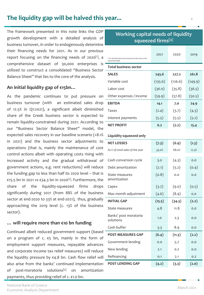# **The liquidity gap will be halved this year...** <sup>4</sup>

The framework presented in this note links the GDP growth development with a detailed analysis of business turnover, in order to endogenously determine their financing needs for 2021. As in our previous report focusing on the financing needs of 2020<sup>[1]</sup>, a comprehensive dataset of 30,000 enterprises is utilized to construct a consolidated "Business Sector Balance Sheet" that lies to the core of the analysis.

### **An initial liquidity gap of €15bn…**

As the pandemic continues to put pressure on business turnover (with an estimated sales drop of 12.5% in Q1:2021), a significant albeit diminished share of the Greek business sector is expected to remain liquidity-constrained during 2021. According to our "Business Sector Balance Sheet" model, the expected sales recovery in our baseline scenario (+8.1% in 2021) and the business sector adjustments to operations (that is, mainly the maintenance of cost control actions albeit with operating costs rising with increased activity and the gradual withdrawal of government actions, e.g. rent reductions) will reduce the funding gap to less than half its 2020 level – that is €15.5 bn in 2021 vs €34.3 bn in 2020[2] . Furthermore, the share of the liquidity-squeezed firms drops significantly during 2021 (from 88% of the business sector at end-2020 to 33% at end-2021), thus, gradually approaching the 2019 level (c. 13% of the business sector).

### **… will require more than €10 bn funding**

Continued albeit reduced government support (based on a program of c.  $\epsilon$ 5 bn, mainly in the form of employment support measures, repayable advances and corporate income tax relief measures) will reduce the liquidity pressure by  $\epsilon$ 4.8 bn. Cash flow relief will also arise from the banks' continued implementation of post-moratoria solutions[5] on amortization payments, thus providing relief of c. €1.0 bn.

## **Working capital needs of liquidity squeezed firms[4]**

| * For the full name of acronyms see the note at the<br>end of the table | 2021    | 2020    | 2019    |  |
|-------------------------------------------------------------------------|---------|---------|---------|--|
| <b>Total business sector</b>                                            |         |         |         |  |
| <b>SALES</b>                                                            | 245.6   | 227.2   | 261.8   |  |
| Variable cost                                                           | (135.6) | (126.6) | (149.9) |  |
| Labor cost                                                              | (36.0)  | (35.8)  | (36.5)  |  |
| Other expenses / income                                                 | (59.9)  | (57.8)  | (50.5)  |  |
| <b>EBITDA</b>                                                           | 14.1    | 7.0     | 24.9    |  |
| Taxes                                                                   | (2.4)   | (3.7)   | (4.3)   |  |
| Interest payments                                                       | (5.5)   | (5.5)   | (5.2)   |  |
| <b>NET PROFIT</b>                                                       | 6.2     | (2.2)   | 15.4    |  |
| Liquidity-squeezed only                                                 |         |         |         |  |
| <b>NET LOSSES</b>                                                       | (7.3)   | (6.9)   | (1.3)   |  |
| As % of total sales of the year                                         | 33.0%   | 88.0%   | 12.5%   |  |
| Cash conversion cycle                                                   | 3.0     | (4.3)   | 0.0     |  |
| Debt amortization                                                       | (2.1)   | (5.2)   | (0.4)   |  |
| State measures<br>amortization                                          | (0.8)   | 0.0     | 0.0     |  |
| Capex                                                                   | (3.7)   | (9.0)   | (0.5)   |  |
| Max month adjustment                                                    | (4.6)   | (8.9)   | 0.0     |  |
| <b>INITIAL GAP</b>                                                      | (15.5)  | (34.3)  | (2.2)   |  |
| State measures                                                          | 4.8     | 11.8    | 0.0     |  |
| Banks' post moratoria<br>solutions                                      | 1.0     | 2.3     | 0.0     |  |
| Cash buffer                                                             | 3.3     | 8.9     | 0.0     |  |
| <b>POST-MEASURES GAP</b>                                                | (6.4)   | (11.3)  | (2.2)   |  |
| Government lending                                                      | 0.0     | 5.7     | 0.0     |  |
| New lending                                                             | 2.1     | 0.2     | 0.0     |  |
| Refinancing                                                             | 0.1     | 2.1     | 0.2     |  |
| <b>POST-LENDING GAP</b>                                                 | (4.2)   | (3.3)   | (2.0)   |  |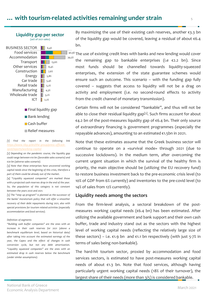# **…** with tourism-related activities remaining under strain  $\frac{1}{5}$



#### *[1] Find the report in the following link [https://www.nbg.gr/en/the-group/press-office/e](https://www.nbg.gr/en/the-group/press-office/e-spot/reports/working-capital)spot/reports/working-capital*

*[2] Depending on the pandemic course, the liquidity gap could range between €10 bn (favorable sales scenario) and €20 bn (adverse sales scenario).*

*[3] Note that these enterprises have uncovered working capital needs since the beginning of this crisis, therefore a part of them could be already out of the market.*

*[4] "Liquidity squeezed companies" are marked those with a projected cash reserves drop in the end of the year. So, the population of this category is not constant between the years 2020 and 2021.*

*[5] The "step up program" is planned as the successor of the banks' moratorium policy that will offer a smoother recovery of their debt repayments during 2021, also with special provisions for tourism related activities (especially accommodation and food services).*

#### *Definition of segments*

*"Building cash buffer companies" are the ones with an increase in their cash reserves for 2021 (above a benchmark equilibrium level, based on historical data) after taking into account the estimated earnings of the year, the Capex and the effect of changes in cash conversion cycle, but not any debt amortization. "Liquidity squeezed companies" are the ones with an estimated drop in cash reserves below the benchmark (under similar assumptions).*

By maximizing the use of their existing cash reserves, another €3.3 bn of the liquidity gap would be covered, leaving a residual of about  $\epsilon$ 6.4 bn.

40,9% The use of existing credit lines with banks and new lending would cover the remaining gap to bankable enterprises (i.e  $\epsilon$ 2.2 bn). Since most funds should be channelled towards liquidity-squeezed enterprises, the extension of the state guarantee schemes would ensure such an outcome. This scenario – with the funding gap fully covered – suggests that access to liquidity will not be a drag on activity and employment (i.e. no second-round effects to activity from the credit channel of monetary transmission).

Certain firms will not be considered "bankable", and thus will not be able to close their residual liquidity gap<sup>[3]</sup>. Such firms account for about €4.2 bn of the post-measures liquidity gap of €6.4 bn. Their only source of extraordinary financing is government programmes (especially the repayable advances), amounting to an estimated €1.5bn in 2021.

Note that these estimates assume that the Greek business sector will continue to operate on a «survival mode» through 2021 (due to successive lockdowns). In the medium term, after overcoming the current urgent situation in which the survival of the healthy firm is priority, the main objective should be (utilizing the EU recovery fund) to restore business investment back to the pre-economic crisis level (to 10% of GDP from 6% currently) and inventories to the pre-covid level (to 14% of sales from 12% currently).

### **Liquidity needs among the sectors**

From the firm-level analysis, a sectoral breakdown of the postmeasures working capital needs (€6.4 bn) has been estimated. After utilizing the available government and bank support and their own cash buffer, trade and industry stand out as the sectors with the highest level of working capital needs (reflecting the relatively large size of these sectors) – i.e.  $€1.9$  bn and  $€1.1$  bn respectively (with just 5-7% in terms of sales being non-bankable).

The hard-hit tourism sector, proxied by accommodation and food services sectors, is estimated to have post-measures working capital needs of about €1.3 bn. Note that food services, although having particularly urgent working capital needs (18% of their turnover), the largest share of their needs (more than 3/5) is considered bankable.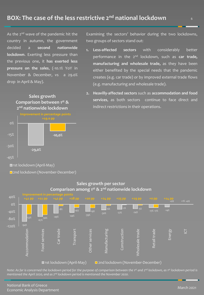As the 2<sup>nd</sup> wave of the pandemic hit the country in autumn, the government decided a **second nationwide lockdown**. Exerting less pressure than the previous one, it **has exerted less pressure on the sales**, (-10.1% YoY in November & December, vs a 29.0% drop in April & May).



Examining the sectors' behavior during the two lockdowns, two groups of sectors stand out:

- **1. Less-affected sectors** with considerably better performance in the 2 nd lockdown, such as **car trade, manufacturing and wholesale trade,** as they have been either benefited by the special needs that the pandemic creates (e.g. car trade) or by improved external trade flows (e.g. manufacturing and wholesale trade).
- **2. Heavilly-affected sectors** such as **accommodation and food services**, as both sectors continue to face direct and indirect restrictions in their operations.



■ 2nd lockdown (November-December)



**Sales growth per sector Comparison among 1st & 2nd nationwide lockdown**

Note: As far is concerned the lockdown period for the purpose of comparison between the 1<sup>st</sup> and 2<sup>nd</sup> lockdown, as 1<sup>st</sup> lockdown period is *mentioned the April 2020, and as 2 nd lockdown period is mentioned the November 2020.*